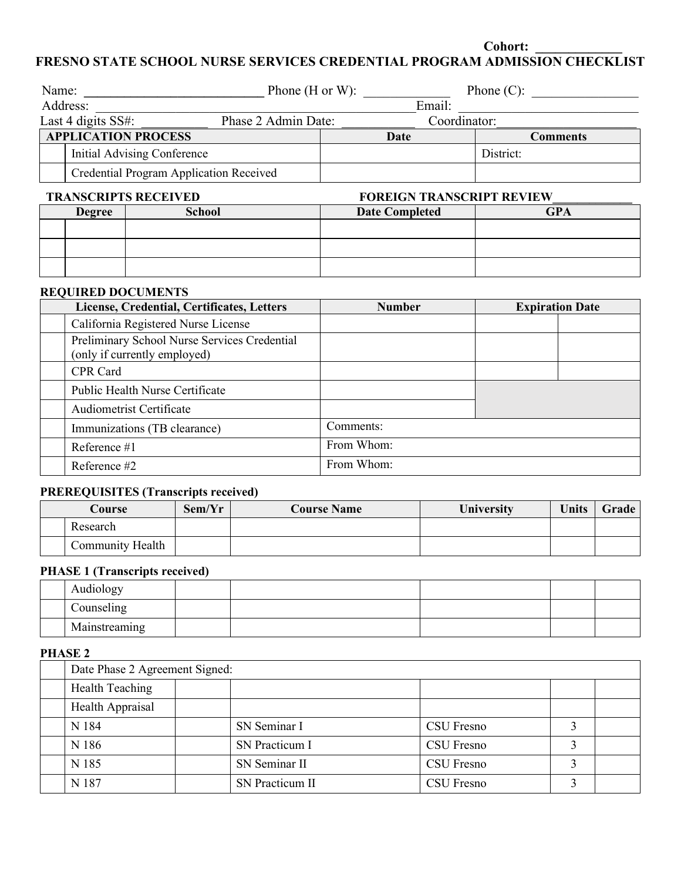**Cohort: \_\_\_\_\_\_\_\_\_\_\_\_\_**

**FRESNO STATE SCHOOL NURSE SERVICES CREDENTIAL PROGRAM ADMISSION CHECKLIST**

| Name:                    |                                         | Phone $(H \text{ or } W)$ : |                                | Phone $(C)$ :   |  |
|--------------------------|-----------------------------------------|-----------------------------|--------------------------------|-----------------|--|
| Address:                 |                                         | Email:                      |                                |                 |  |
|                          | Last 4 digits SS#:                      | Phase 2 Admin Date:         | Coordinator:                   |                 |  |
|                          | <b>APPLICATION PROCESS</b>              |                             | Date                           | <b>Comments</b> |  |
|                          | Initial Advising Conference             |                             |                                | District:       |  |
|                          | Credential Program Application Received |                             |                                |                 |  |
| <b>TRAIN AND ARRIVED</b> |                                         |                             | <b>CONFIGUED INCONDEDITION</b> |                 |  |

## **TRANSCRIPTS RECEIVED FOREIGN TRANSCRIPT REVIEW**

| <b>Degree</b> | <b>School</b> | <b>Date Completed</b> | GPA |
|---------------|---------------|-----------------------|-----|
|               |               |                       |     |
|               |               |                       |     |
|               |               |                       |     |

### **REQUIRED DOCUMENTS**

| License, Credential, Certificates, Letters                                   | <b>Number</b> | <b>Expiration Date</b> |  |
|------------------------------------------------------------------------------|---------------|------------------------|--|
| California Registered Nurse License                                          |               |                        |  |
| Preliminary School Nurse Services Credential<br>(only if currently employed) |               |                        |  |
| CPR Card                                                                     |               |                        |  |
| Public Health Nurse Certificate                                              |               |                        |  |
| <b>Audiometrist Certificate</b>                                              |               |                        |  |
| Immunizations (TB clearance)                                                 | Comments:     |                        |  |
| Reference $#1$                                                               | From Whom:    |                        |  |
| Reference #2                                                                 | From Whom:    |                        |  |

# **PREREQUISITES (Transcripts received)**

| Course |                         | Sem/Yr | <b>Course Name</b> | University | <b>Units</b> | <b>Grade</b> |
|--------|-------------------------|--------|--------------------|------------|--------------|--------------|
|        | Research                |        |                    |            |              |              |
|        | <b>Community Health</b> |        |                    |            |              |              |

# **PHASE 1 (Transcripts received)**

| Audiology     |  |  |  |  |  |  |  |
|---------------|--|--|--|--|--|--|--|
| Counseling    |  |  |  |  |  |  |  |
| Mainstreaming |  |  |  |  |  |  |  |

# **PHASE 2**

| Date Phase 2 Agreement Signed: |                 |            |  |  |  |  |
|--------------------------------|-----------------|------------|--|--|--|--|
| Health Teaching                |                 |            |  |  |  |  |
| Health Appraisal               |                 |            |  |  |  |  |
| N 184                          | SN Seminar I    | CSU Fresno |  |  |  |  |
| N 186                          | SN Practicum I  | CSU Fresno |  |  |  |  |
| N 185                          | SN Seminar II   | CSU Fresno |  |  |  |  |
| N 187                          | SN Practicum II | CSU Fresno |  |  |  |  |